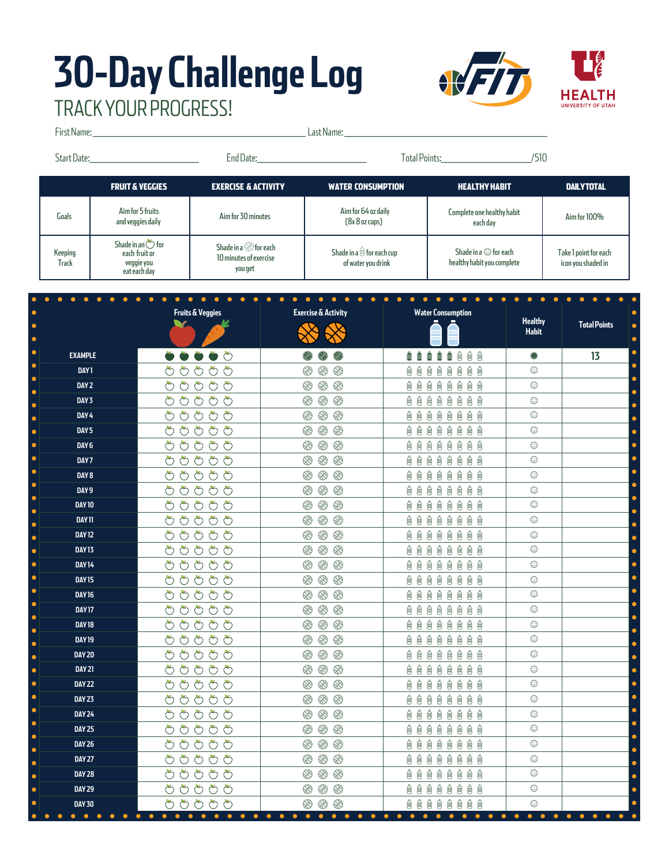## **30-Day Challenge Log** TRACK YOUR PROGRESS!

ċ

ċ

 $\bullet$ 

ċ  $\bullet$ 

ċ

k

 $\bullet$ 

 $\bullet$ 

Ċ

 $\bullet$ 

 $\bullet$ 

Ċ

 $\bullet$ 

ä

ċ

 $\bullet$ 

Ċ

ò

Ċ  $\bullet$ 

ċ



First Name: \_\_\_\_\_\_\_\_\_\_\_\_\_\_\_\_\_\_\_\_\_\_\_\_\_\_\_\_\_\_\_\_\_\_\_\_\_\_\_\_\_\_\_ Last Name: \_\_\_\_\_\_\_\_\_\_\_\_\_\_\_\_\_\_\_\_\_\_\_\_\_\_\_\_\_\_\_\_\_\_\_\_\_\_\_\_\_ Start Date:\_\_\_\_\_\_\_\_\_\_\_\_\_\_\_\_\_\_\_\_\_\_\_ End Date:\_\_\_\_\_\_\_\_\_\_\_\_\_\_\_\_\_\_\_\_\_\_\_ Total Points:\_\_\_\_\_\_\_\_\_\_\_\_\_\_\_\_\_\_\_/510FRUIT & VEGGIES EXERCISE & ACTIVITY WATER CONSUMPTION HEALTHY HABIT DAILY TOTAL Goals Aim for 5 fruits<br>and veggies daily and veggies daily Aim for 30 minutes Aim for 64 oz daily Complete one healthy habit e one healthy habit Aim for 100%<br>each day (8x 8 oz cups) Shade in an  $\circlearrowright$  for Shade in a  $\otimes$  for each Shade in a  $\hat{\boxdot}$  for each cup Shade in a  $\odot$  for each Take 1 point for each Keeping each fruit or 10 minutes of exercise veggie you of water you drink healthy habit you complete icon you shaded in **Track** you get eat each day  $\bullet$  $\bullet$  $\bullet$  $\bullet$  $\bullet$  $\bullet$  $\bullet$ **Fruits & Veggies Exercise & Activity Water Consumption Healthy Total Points** v **Habit EXAMPLE 13 自自自自自自自自**  $\odot$ **DAY 1** ももももも ⊛  $^{\circledR}$ ⊛ やめめめめ  $\odot$ **DAY 2** ⊛  $\otimes$  $\otimes$ 自自自自自自自 はよみめよ ⊛  $\otimes$ ⊗ 自自自自自自自自  $\odot$ **DAY 3** もちちささ  $\odot$  $\otimes$   $\otimes$   $\otimes$ 自自自自自自自自 **DAY 4 DAY 5** はおおおお ⊛  $\otimes$ 自自自自自自自自  $\odot$ **DAY 6** はよみみよ  $\circledast \circledast \circledast$ **自自自自自自自自**  $\odot$ はよみみよ  $\odot$ ⊛  $\otimes$ **DAY 7** 自自自自自自自自 もちちささ  $\otimes$ 自自自自自自自自  $\odot$ **DAY 8**  $^{\circledR}$  $\otimes$ 自自自自自自自 **DAY 9** ややみやめ ⊛  $\odot$  $\otimes$  $\otimes$  $\odot$ **DAY 10** ももももも ⊛ 自自自自自自自 Ê  $\odot$ **DAY 11** はよみめよ  $\circledast \circledast \circledast$ 自自自自自自自自 もちちさみ  $\otimes$ **AAAAAAAA**  $\odot$ **DAY 12**  $^{\circledR}$ はよみめめ  $\otimes$  $\otimes$ 自自自自自自自自  $\odot$ **DAY 13** ⊛ ももももも  $\otimes$ ⊗ 自自自自自自自  $\odot$ **DAY 14**  ⊛ **DAY 15** やめめめめ ⊛  $\otimes$  $\otimes$ 自自自自自自自自  $\odot$ **QQQQQQQQ DAY 16** もよみどよ  $\circledast \circledast \circledast$  $\odot$ **DAY 17** はよみみよ ⊛  $\otimes$ 自自自自自自自自  $\odot$  $\odot$ **DAY 18** もちちよな  $\otimes$ ⊗ **自自自自自自自自** ⊛  $\odot$ **DAY 19** みみみおめ  $\otimes$ 自自自自自自自 ⊛ **DAY 20** はよみめよ ⊛  $\otimes$ 自自自自自自自自  $\odot$ はよみめよ  $R$ 自自自自自自自自  $\odot$ **DAY 21** ⊛  $\odot$ **DAY 22** もちちよな ⊛  $\otimes$ **自自自自自自自自 DAY 23** ももももも **89 89 89** 自自自自自自自  $\odot$ もちちよみ  $\circledS$  $\odot$ ⊛ ⊗ 自自自自自自自自 **DAY 24**  $\overline{\odot}$ **DAY 25** はよみめよ ⊛  $\circledR$ 自自自自自自自自 **DAY 26** みみみおめ  $\circledast \circledast \circledast$ **自自自自自自自自**  $\odot$  $\odot$ **DAY 27** ももももも ⊛  $\otimes$ 自自自自自自自自 **DAY 28** もちちよみ  $\circledast \circledast \circledast$ 自自自自自自自自  $\odot$  $\odot$ **DAY 29** はよみめよ ⊛  $\circledR$ 自自自自自自自自 **DAY 30** みよみみよ  $\otimes$  $\otimes$  $\otimes$ 自自自自自自自 Ê  $\odot$